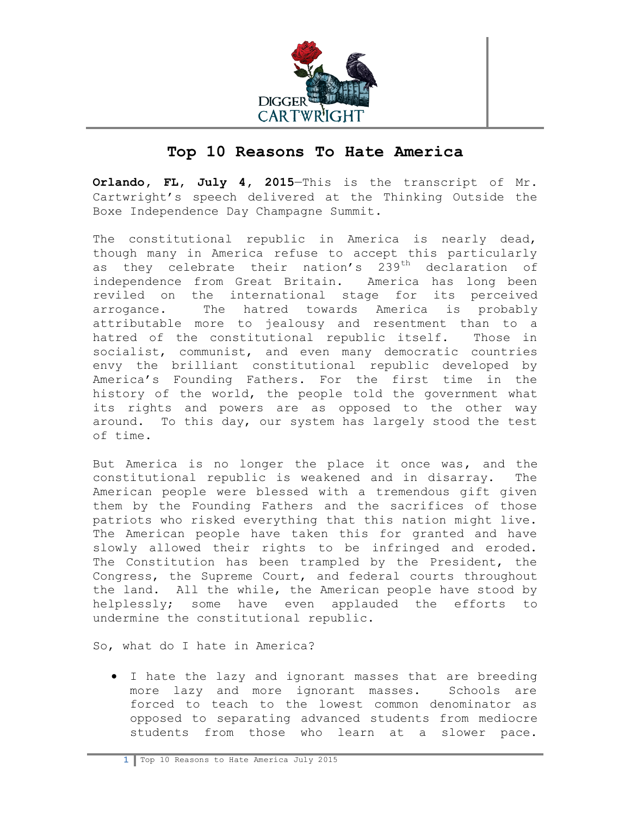

## **Top 10 Reasons To Hate America**

**Orlando, FL, July 4, 2015**—This is the transcript of Mr. Cartwright's speech delivered at the Thinking Outside the Boxe Independence Day Champagne Summit.

The constitutional republic in America is nearly dead, though many in America refuse to accept this particularly as they celebrate their nation's 239<sup>th</sup> declaration of independence from Great Britain. America has long been reviled on the international stage for its perceived arrogance. The hatred towards America is probably attributable more to jealousy and resentment than to a hatred of the constitutional republic itself. Those in socialist, communist, and even many democratic countries envy the brilliant constitutional republic developed by America's Founding Fathers. For the first time in the history of the world, the people told the government what its rights and powers are as opposed to the other way around. To this day, our system has largely stood the test of time.

But America is no longer the place it once was, and the constitutional republic is weakened and in disarray. The American people were blessed with a tremendous gift given them by the Founding Fathers and the sacrifices of those patriots who risked everything that this nation might live. The American people have taken this for granted and have slowly allowed their rights to be infringed and eroded. The Constitution has been trampled by the President, the Congress, the Supreme Court, and federal courts throughout the land. All the while, the American people have stood by helplessly; some have even applauded the efforts to undermine the constitutional republic.

So, what do I hate in America?

 I hate the lazy and ignorant masses that are breeding more lazy and more ignorant masses. Schools are forced to teach to the lowest common denominator as opposed to separating advanced students from mediocre students from those who learn at a slower pace.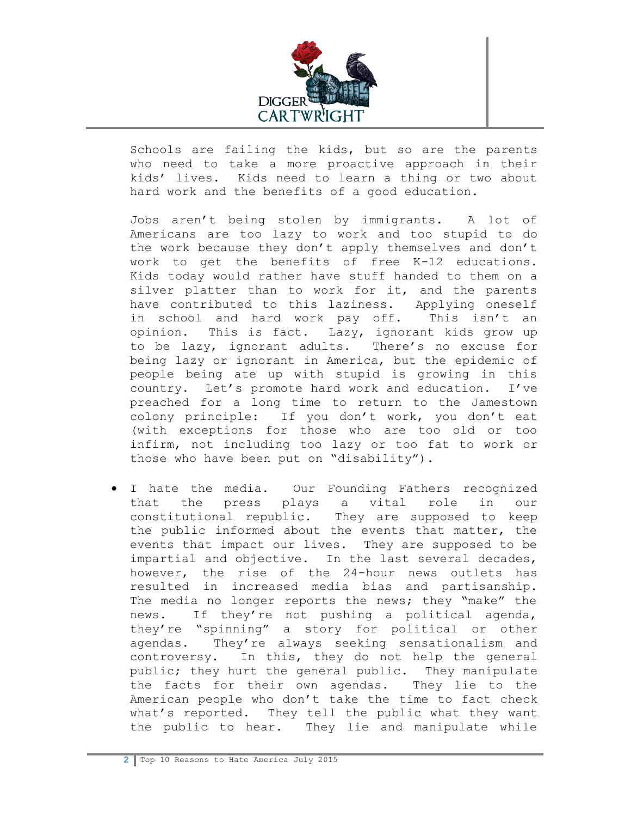

Schools are failing the kids, but so are the parents who need to take a more proactive approach in their kids' lives. Kids need to learn a thing or two about hard work and the benefits of a good education.

Jobs aren't being stolen by immigrants. A lot of Americans are too lazy to work and too stupid to do the work because they don't apply themselves and don't work to get the benefits of free K-12 educations. Kids today would rather have stuff handed to them on a silver platter than to work for it, and the parents have contributed to this laziness. Applying oneself in school and hard work pay off. This isn't an opinion. This is fact. Lazy, ignorant kids grow up to be lazy, ignorant adults. There's no excuse for being lazy or ignorant in America, but the epidemic of people being ate up with stupid is growing in this country. Let's promote hard work and education. I've preached for a long time to return to the Jamestown colony principle: If you don't work, you don't eat (with exceptions for those who are too old or too infirm, not including too lazy or too fat to work or those who have been put on "disability").

 I hate the media. Our Founding Fathers recognized that the press plays a vital role in our constitutional republic. They are supposed to keep the public informed about the events that matter, the events that impact our lives. They are supposed to be impartial and objective. In the last several decades, however, the rise of the 24-hour news outlets has resulted in increased media bias and partisanship. The media no longer reports the news; they "make" the news. If they're not pushing a political agenda, they're "spinning" a story for political or other agendas. They're always seeking sensationalism and controversy. In this, they do not help the general public; they hurt the general public. They manipulate the facts for their own agendas. They lie to the American people who don't take the time to fact check what's reported. They tell the public what they want the public to hear. They lie and manipulate while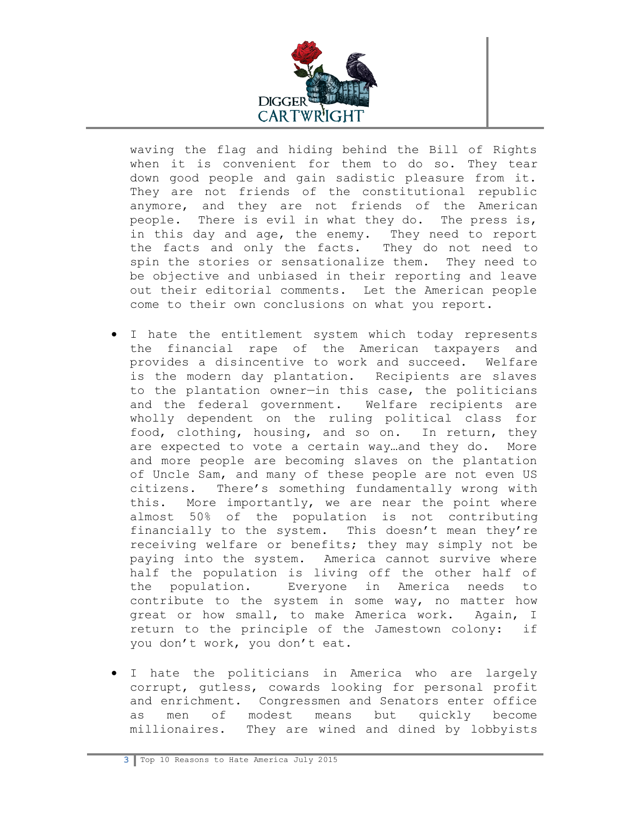

waving the flag and hiding behind the Bill of Rights when it is convenient for them to do so. They tear down good people and gain sadistic pleasure from it. They are not friends of the constitutional republic anymore, and they are not friends of the American people. There is evil in what they do. The press is, in this day and age, the enemy. They need to report the facts and only the facts. They do not need to spin the stories or sensationalize them. They need to be objective and unbiased in their reporting and leave out their editorial comments. Let the American people come to their own conclusions on what you report.

- I hate the entitlement system which today represents the financial rape of the American taxpayers and provides a disincentive to work and succeed. Welfare is the modern day plantation. Recipients are slaves to the plantation owner—in this case, the politicians and the federal government. Welfare recipients are wholly dependent on the ruling political class for food, clothing, housing, and so on. In return, they are expected to vote a certain way…and they do. More and more people are becoming slaves on the plantation of Uncle Sam, and many of these people are not even US citizens. There's something fundamentally wrong with this. More importantly, we are near the point where almost 50% of the population is not contributing financially to the system. This doesn't mean they're receiving welfare or benefits; they may simply not be paying into the system. America cannot survive where half the population is living off the other half of the population. Everyone in America needs to contribute to the system in some way, no matter how great or how small, to make America work. Again, I return to the principle of the Jamestown colony: if you don't work, you don't eat.
- I hate the politicians in America who are largely corrupt, gutless, cowards looking for personal profit and enrichment. Congressmen and Senators enter office as men of modest means but quickly become millionaires. They are wined and dined by lobbyists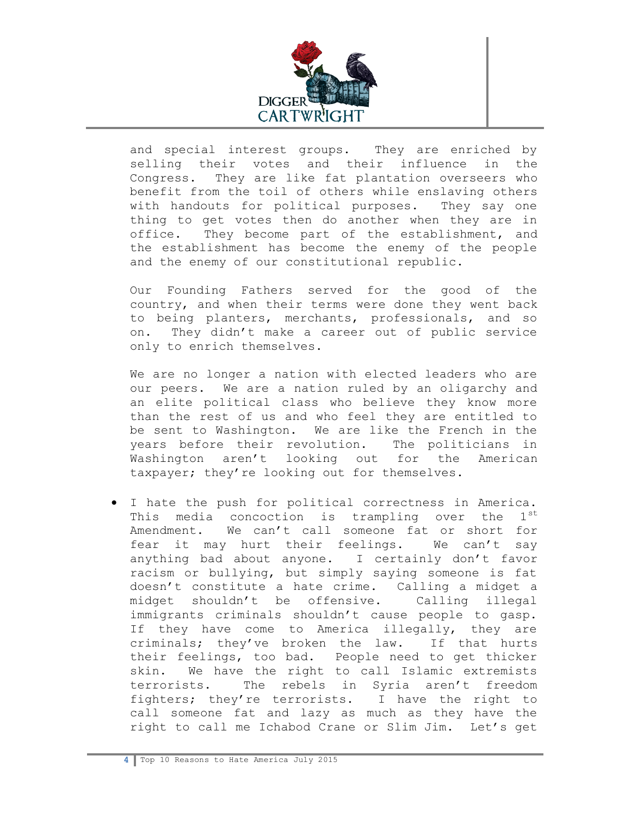

and special interest groups. They are enriched by selling their votes and their influence in the Congress. They are like fat plantation overseers who benefit from the toil of others while enslaving others with handouts for political purposes. They say one thing to get votes then do another when they are in office. They become part of the establishment, and the establishment has become the enemy of the people and the enemy of our constitutional republic.

Our Founding Fathers served for the good of the country, and when their terms were done they went back to being planters, merchants, professionals, and so on. They didn't make a career out of public service only to enrich themselves.

We are no longer a nation with elected leaders who are our peers. We are a nation ruled by an oligarchy and an elite political class who believe they know more than the rest of us and who feel they are entitled to be sent to Washington. We are like the French in the years before their revolution. The politicians in Washington aren't looking out for the American taxpayer; they're looking out for themselves.

 I hate the push for political correctness in America. This media concoction is trampling over the  $1^{st}$ Amendment. We can't call someone fat or short for fear it may hurt their feelings. We can't say anything bad about anyone. I certainly don't favor racism or bullying, but simply saying someone is fat doesn't constitute a hate crime. Calling a midget a midget shouldn't be offensive. Calling illegal immigrants criminals shouldn't cause people to gasp. If they have come to America illegally, they are criminals; they've broken the law. If that hurts their feelings, too bad. People need to get thicker skin. We have the right to call Islamic extremists terrorists. The rebels in Syria aren't freedom fighters; they're terrorists. I have the right to call someone fat and lazy as much as they have the right to call me Ichabod Crane or Slim Jim. Let's get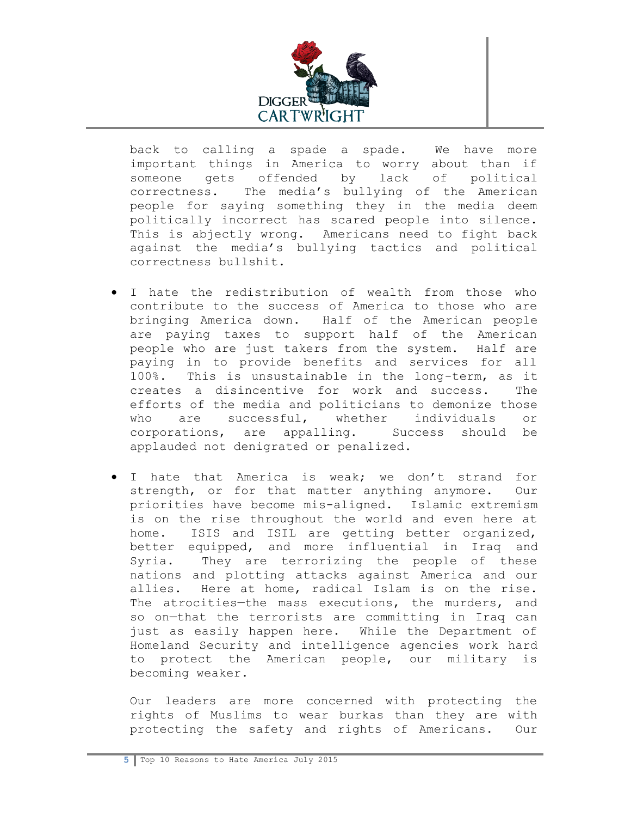

back to calling a spade a spade. We have more important things in America to worry about than if someone gets offended by lack of political correctness. The media's bullying of the American people for saying something they in the media deem politically incorrect has scared people into silence. This is abjectly wrong. Americans need to fight back against the media's bullying tactics and political correctness bullshit.

- I hate the redistribution of wealth from those who contribute to the success of America to those who are bringing America down. Half of the American people are paying taxes to support half of the American people who are just takers from the system. Half are paying in to provide benefits and services for all 100%. This is unsustainable in the long-term, as it creates a disincentive for work and success. The efforts of the media and politicians to demonize those who are successful, whether individuals or corporations, are appalling. Success should be applauded not denigrated or penalized.
- I hate that America is weak; we don't strand for strength, or for that matter anything anymore. Our priorities have become mis-aligned. Islamic extremism is on the rise throughout the world and even here at home. ISIS and ISIL are getting better organized, better equipped, and more influential in Iraq and Syria. They are terrorizing the people of these nations and plotting attacks against America and our allies. Here at home, radical Islam is on the rise. The atrocities—the mass executions, the murders, and so on—that the terrorists are committing in Iraq can just as easily happen here. While the Department of Homeland Security and intelligence agencies work hard to protect the American people, our military is becoming weaker.

Our leaders are more concerned with protecting the rights of Muslims to wear burkas than they are with protecting the safety and rights of Americans. Our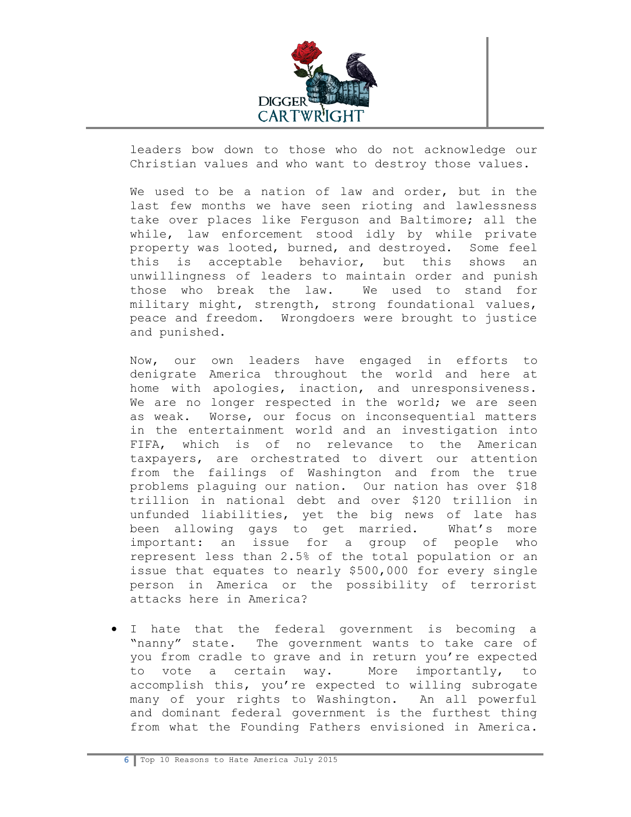

leaders bow down to those who do not acknowledge our Christian values and who want to destroy those values.

We used to be a nation of law and order, but in the last few months we have seen rioting and lawlessness take over places like Ferguson and Baltimore; all the while, law enforcement stood idly by while private property was looted, burned, and destroyed. Some feel this is acceptable behavior, but this shows an unwillingness of leaders to maintain order and punish those who break the law. We used to stand for military might, strength, strong foundational values, peace and freedom. Wrongdoers were brought to justice and punished.

Now, our own leaders have engaged in efforts to denigrate America throughout the world and here at home with apologies, inaction, and unresponsiveness. We are no longer respected in the world; we are seen as weak. Worse, our focus on inconsequential matters in the entertainment world and an investigation into FIFA, which is of no relevance to the American taxpayers, are orchestrated to divert our attention from the failings of Washington and from the true problems plaguing our nation. Our nation has over \$18 trillion in national debt and over \$120 trillion in unfunded liabilities, yet the big news of late has been allowing gays to get married. What's more important: an issue for a group of people who represent less than 2.5% of the total population or an issue that equates to nearly \$500,000 for every single person in America or the possibility of terrorist attacks here in America?

 I hate that the federal government is becoming a "nanny" state. The government wants to take care of you from cradle to grave and in return you're expected to vote a certain way. More importantly, to accomplish this, you're expected to willing subrogate many of your rights to Washington. An all powerful and dominant federal government is the furthest thing from what the Founding Fathers envisioned in America.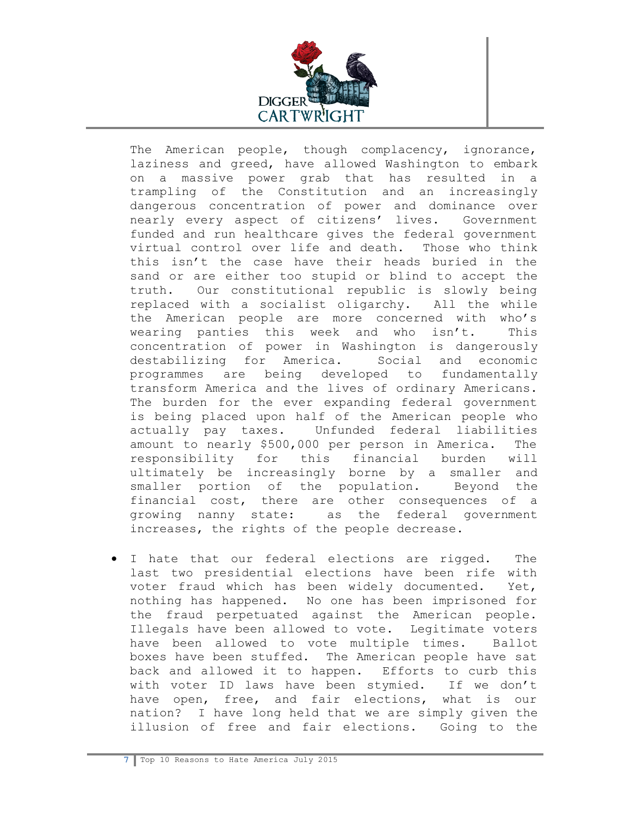

The American people, though complacency, ignorance, laziness and greed, have allowed Washington to embark on a massive power grab that has resulted in a trampling of the Constitution and an increasingly dangerous concentration of power and dominance over nearly every aspect of citizens' lives. Government funded and run healthcare gives the federal government virtual control over life and death. Those who think this isn't the case have their heads buried in the sand or are either too stupid or blind to accept the truth. Our constitutional republic is slowly being replaced with a socialist oligarchy. All the while the American people are more concerned with who's wearing panties this week and who isn't. This concentration of power in Washington is dangerously destabilizing for America. Social and economic programmes are being developed to fundamentally transform America and the lives of ordinary Americans. The burden for the ever expanding federal government is being placed upon half of the American people who actually pay taxes. Unfunded federal liabilities amount to nearly \$500,000 per person in America. The responsibility for this financial burden will ultimately be increasingly borne by a smaller and smaller portion of the population. Beyond the financial cost, there are other consequences of a growing nanny state: as the federal government increases, the rights of the people decrease.

 I hate that our federal elections are rigged. The last two presidential elections have been rife with voter fraud which has been widely documented. Yet, nothing has happened. No one has been imprisoned for the fraud perpetuated against the American people. Illegals have been allowed to vote. Legitimate voters have been allowed to vote multiple times. Ballot boxes have been stuffed. The American people have sat back and allowed it to happen. Efforts to curb this with voter ID laws have been stymied. If we don't have open, free, and fair elections, what is our nation? I have long held that we are simply given the illusion of free and fair elections. Going to the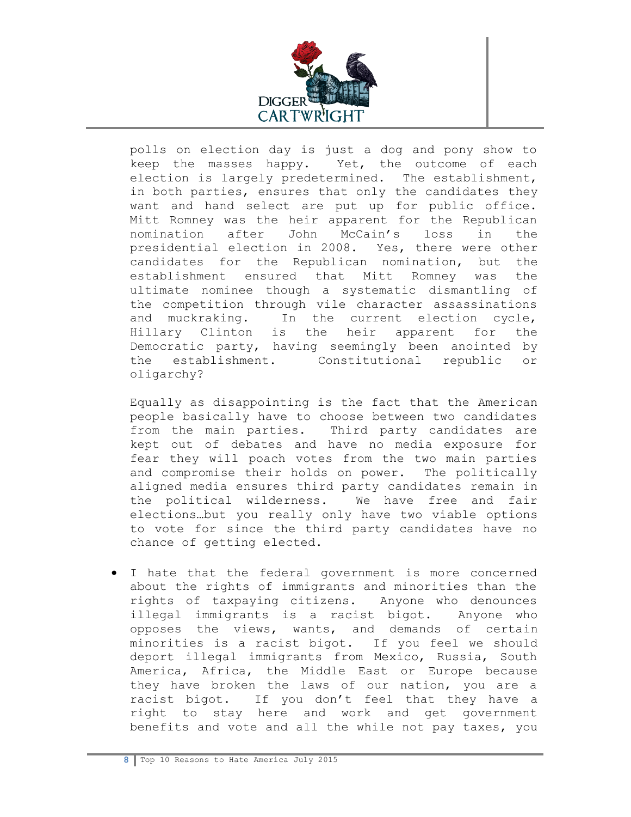

polls on election day is just a dog and pony show to keep the masses happy. Yet, the outcome of each election is largely predetermined. The establishment, in both parties, ensures that only the candidates they want and hand select are put up for public office. Mitt Romney was the heir apparent for the Republican nomination after John McCain's loss in the presidential election in 2008. Yes, there were other candidates for the Republican nomination, but the establishment ensured that Mitt Romney was the ultimate nominee though a systematic dismantling of the competition through vile character assassinations and muckraking. In the current election cycle, Hillary Clinton is the heir apparent for the Democratic party, having seemingly been anointed by the establishment. Constitutional republic or oligarchy?

Equally as disappointing is the fact that the American people basically have to choose between two candidates from the main parties. Third party candidates are kept out of debates and have no media exposure for fear they will poach votes from the two main parties and compromise their holds on power. The politically aligned media ensures third party candidates remain in the political wilderness. We have free and fair elections…but you really only have two viable options to vote for since the third party candidates have no chance of getting elected.

 I hate that the federal government is more concerned about the rights of immigrants and minorities than the rights of taxpaying citizens. Anyone who denounces illegal immigrants is a racist bigot. Anyone who opposes the views, wants, and demands of certain minorities is a racist bigot. If you feel we should deport illegal immigrants from Mexico, Russia, South America, Africa, the Middle East or Europe because they have broken the laws of our nation, you are a racist bigot. If you don't feel that they have a right to stay here and work and get government benefits and vote and all the while not pay taxes, you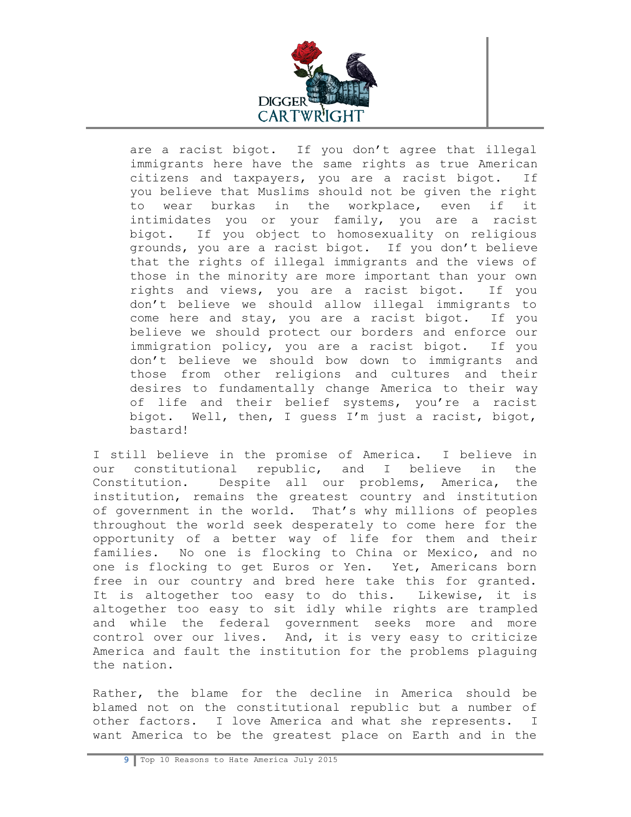

are a racist bigot. If you don't agree that illegal immigrants here have the same rights as true American citizens and taxpayers, you are a racist bigot. If you believe that Muslims should not be given the right to wear burkas in the workplace, even if it intimidates you or your family, you are a racist bigot. If you object to homosexuality on religious grounds, you are a racist bigot. If you don't believe that the rights of illegal immigrants and the views of those in the minority are more important than your own rights and views, you are a racist bigot. If you don't believe we should allow illegal immigrants to come here and stay, you are a racist bigot. If you believe we should protect our borders and enforce our immigration policy, you are a racist bigot. If you don't believe we should bow down to immigrants and those from other religions and cultures and their desires to fundamentally change America to their way of life and their belief systems, you're a racist bigot. Well, then, I guess I'm just a racist, bigot, bastard!

I still believe in the promise of America. I believe in our constitutional republic, and I believe in the Constitution. Despite all our problems, America, the institution, remains the greatest country and institution of government in the world. That's why millions of peoples throughout the world seek desperately to come here for the opportunity of a better way of life for them and their families. No one is flocking to China or Mexico, and no one is flocking to get Euros or Yen. Yet, Americans born free in our country and bred here take this for granted. It is altogether too easy to do this. Likewise, it is altogether too easy to sit idly while rights are trampled and while the federal government seeks more and more control over our lives. And, it is very easy to criticize America and fault the institution for the problems plaguing the nation.

Rather, the blame for the decline in America should be blamed not on the constitutional republic but a number of other factors. I love America and what she represents. I want America to be the greatest place on Earth and in the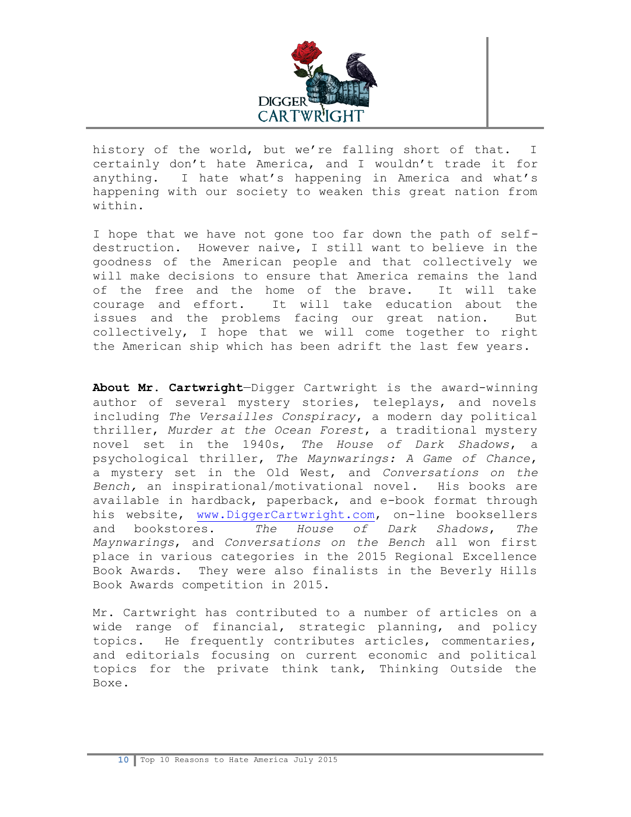

history of the world, but we're falling short of that. I certainly don't hate America, and I wouldn't trade it for anything. I hate what's happening in America and what's happening with our society to weaken this great nation from within.

I hope that we have not gone too far down the path of selfdestruction. However naive, I still want to believe in the goodness of the American people and that collectively we will make decisions to ensure that America remains the land of the free and the home of the brave. It will take courage and effort. It will take education about the issues and the problems facing our great nation. But collectively, I hope that we will come together to right the American ship which has been adrift the last few years.

**About Mr. Cartwright**—Digger Cartwright is the award-winning author of several mystery stories, teleplays, and novels including *The Versailles Conspiracy*, a modern day political thriller, *Murder at the Ocean Forest*, a traditional mystery novel set in the 1940s, *The House of Dark Shadows*, a psychological thriller, *The Maynwarings: A Game of Chance*, a mystery set in the Old West, and *Conversations on the Bench,* an inspirational/motivational novel. His books are available in hardback, paperback, and e-book format through his website, [www.DiggerCartwright.com,](http://www.diggercartwright.com/) on-line booksellers and bookstores. *The House of Dark Shadows*, *The Maynwarings*, and *Conversations on the Bench* all won first place in various categories in the 2015 Regional Excellence Book Awards. They were also finalists in the Beverly Hills Book Awards competition in 2015.

Mr. Cartwright has contributed to a number of articles on a wide range of financial, strategic planning, and policy topics. He frequently contributes articles, commentaries, and editorials focusing on current economic and political topics for the private think tank, Thinking Outside the Boxe.